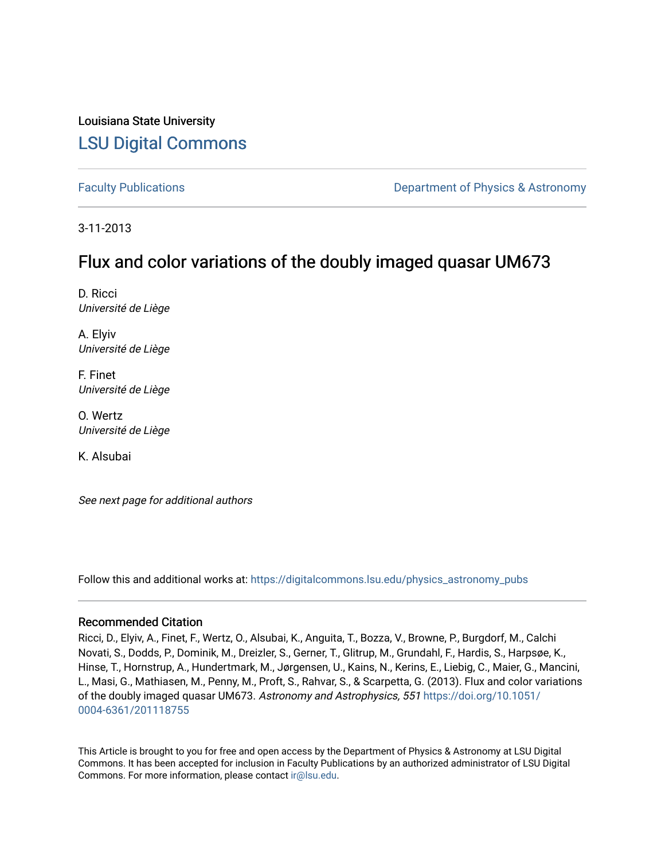# Louisiana State University [LSU Digital Commons](https://digitalcommons.lsu.edu/)

[Faculty Publications](https://digitalcommons.lsu.edu/physics_astronomy_pubs) **Exercise 2 and Table 2 and Table 2 and Table 2 and Table 2 and Table 2 and Table 2 and Table 2 and Table 2 and Table 2 and Table 2 and Table 2 and Table 2 and Table 2 and Table 2 and Table 2 and Table** 

3-11-2013

# Flux and color variations of the doubly imaged quasar UM673

D. Ricci Université de Liège

A. Elyiv Université de Liège

F. Finet Université de Liège

O. Wertz Université de Liège

K. Alsubai

See next page for additional authors

Follow this and additional works at: [https://digitalcommons.lsu.edu/physics\\_astronomy\\_pubs](https://digitalcommons.lsu.edu/physics_astronomy_pubs?utm_source=digitalcommons.lsu.edu%2Fphysics_astronomy_pubs%2F4214&utm_medium=PDF&utm_campaign=PDFCoverPages) 

# Recommended Citation

Ricci, D., Elyiv, A., Finet, F., Wertz, O., Alsubai, K., Anguita, T., Bozza, V., Browne, P., Burgdorf, M., Calchi Novati, S., Dodds, P., Dominik, M., Dreizler, S., Gerner, T., Glitrup, M., Grundahl, F., Hardis, S., Harpsøe, K., Hinse, T., Hornstrup, A., Hundertmark, M., Jørgensen, U., Kains, N., Kerins, E., Liebig, C., Maier, G., Mancini, L., Masi, G., Mathiasen, M., Penny, M., Proft, S., Rahvar, S., & Scarpetta, G. (2013). Flux and color variations of the doubly imaged quasar UM673. Astronomy and Astrophysics, 551 [https://doi.org/10.1051/](https://doi.org/10.1051/0004-6361/201118755) [0004-6361/201118755](https://doi.org/10.1051/0004-6361/201118755)

This Article is brought to you for free and open access by the Department of Physics & Astronomy at LSU Digital Commons. It has been accepted for inclusion in Faculty Publications by an authorized administrator of LSU Digital Commons. For more information, please contact [ir@lsu.edu](mailto:ir@lsu.edu).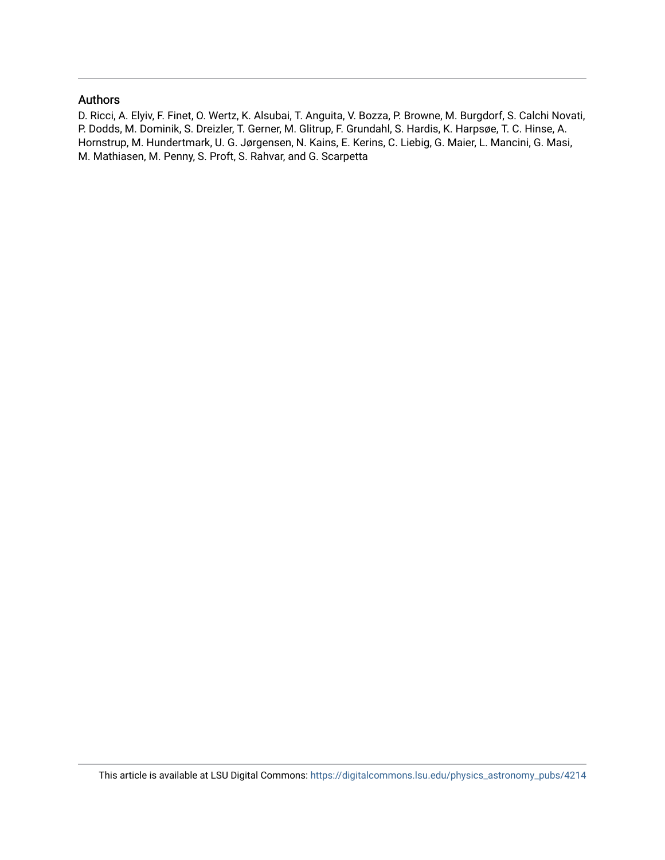# Authors

D. Ricci, A. Elyiv, F. Finet, O. Wertz, K. Alsubai, T. Anguita, V. Bozza, P. Browne, M. Burgdorf, S. Calchi Novati, P. Dodds, M. Dominik, S. Dreizler, T. Gerner, M. Glitrup, F. Grundahl, S. Hardis, K. Harpsøe, T. C. Hinse, A. Hornstrup, M. Hundertmark, U. G. Jørgensen, N. Kains, E. Kerins, C. Liebig, G. Maier, L. Mancini, G. Masi, M. Mathiasen, M. Penny, S. Proft, S. Rahvar, and G. Scarpetta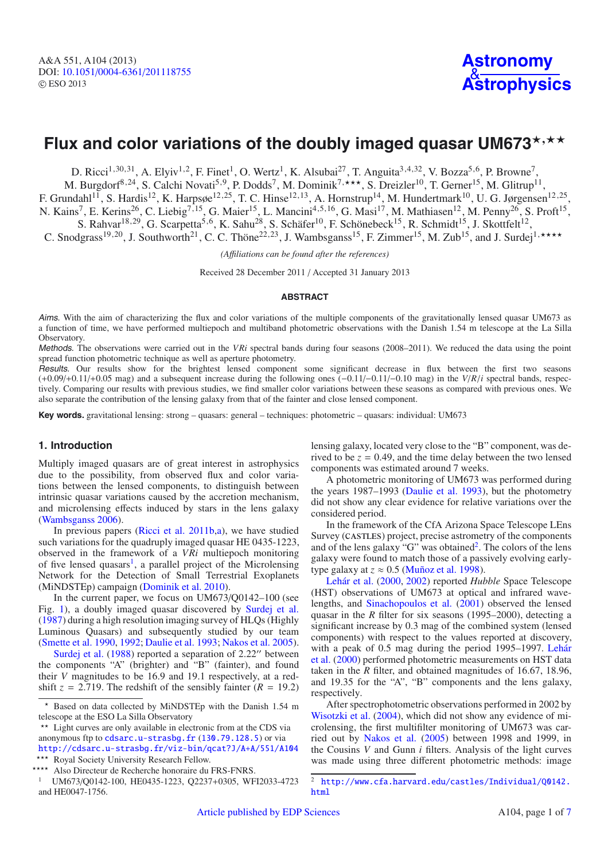# Flux and color variations of the doubly imaged quasar UM673\*,\*\*

D. Ricci<sup>1,30,31</sup>, A. Elyiv<sup>1,2</sup>, F. Finet<sup>1</sup>, O. Wertz<sup>1</sup>, K. Alsubai<sup>27</sup>, T. Anguita<sup>3,4,32</sup>, V. Bozza<sup>5,6</sup>, P. Browne<sup>7</sup>,

M. Burgdorf<sup>8,24</sup>, S. Calchi Novati<sup>5,9</sup>, P. Dodds<sup>7</sup>, M. Dominik<sup>7,\*\*\*</sup>, S. Dreizler<sup>10</sup>, T. Gerner<sup>15</sup>, M. Glitrup<sup>11</sup>, F. Grundahl<sup>11</sup>, S. Hardis<sup>12</sup>, K. Harpsøe<sup>12,25</sup>, T. C. Hinse<sup>12,13</sup>, A. Hornstrup<sup>14</sup>, M. Hundertmark<sup>10</sup>, U. G. Jørgensen<sup>12,25</sup>, N. Kains<sup>7</sup>, E. Kerins<sup>26</sup>, C. Liebig<sup>7,15</sup>, G. Maier<sup>15</sup>, L. Mancini<sup>4,5,16</sup>, G. Masi<sup>17</sup>, M. Mathiasen<sup>12</sup>, M. Penny<sup>26</sup>, S. Proft<sup>15</sup>, S. Rahvar<sup>18,29</sup>, G. Scarpetta<sup>5,6</sup>, K. Sahu<sup>28</sup>, S. Schäfer<sup>10</sup>, F. Schönebeck<sup>15</sup>, R. Schmidt<sup>15</sup>, J. Skottfelt<sup>12</sup>,

C. Snodgrass<sup>19,20</sup>, J. Southworth<sup>21</sup>, C. C. Thöne<sup>22,23</sup>, J. Wambsganss<sup>15</sup>, F. Zimmer<sup>15</sup>, M. Zub<sup>15</sup>, and J. Surdej<sup>1,\*\*\*\*</sup>

*(A*ffi*liations can be found after the references)*

Received 28 December 2011 / Accepted 31 January 2013

#### **ABSTRACT**

Aims. With the aim of characterizing the flux and color variations of the multiple components of the gravitationally lensed quasar UM673 as a function of time, we have performed multiepoch and multiband photometric observations with the Danish 1.54 m telescope at the La Silla Observatory.

Methods. The observations were carried out in the *VRi* spectral bands during four seasons (2008–2011). We reduced the data using the point spread function photometric technique as well as aperture photometry.

Results. Our results show for the brightest lensed component some significant decrease in flux between the first two seasons (+0.09/+0.11/+0.05 mag) and a subsequent increase during the following ones (−0.11/−0.11/−0.10 mag) in the *<sup>V</sup>*/*R*/*<sup>i</sup>* spectral bands, respectively. Comparing our results with previous studies, we find smaller color variations between these seasons as compared with previous ones. We also separate the contribution of the lensing galaxy from that of the fainter and close lensed component.

**Key words.** gravitational lensing: strong – quasars: general – techniques: photometric – quasars: individual: UM673

## **1. Introduction**

Multiply imaged quasars are of great interest in astrophysics due to the possibility, from observed flux and color variations between the lensed components, to distinguish between intrinsic quasar variations caused by the accretion mechanism, and microlensing effects induced by stars in the lens galaxy [\(Wambsganss 2006](#page-8-0)).

In previous papers [\(Ricci et al. 2011b](#page-8-1)[,a\)](#page-8-2), we have studied such variations for the quadruply imaged quasar HE 0435-1223, observed in the framework of a *VRi* multiepoch monitoring of five lensed quasars<sup>1</sup>, a parallel project of the Microlensing Network for the Detection of Small Terrestrial Exoplanets (MiNDSTEp) campaign [\(Dominik et al. 2010\)](#page-8-3).

In the current paper, we focus on UM673/Q0142–100 (see Fig. [1\)](#page-3-0), a doubly imaged quasar discovered by [Surdej et al.](#page-8-4) [\(1987](#page-8-4)) during a high resolution imaging survey of HLQs (Highly Luminous Quasars) and subsequently studied by our team [\(Smette et al. 1990,](#page-8-5) [1992](#page-8-6); [Daulie et al. 1993;](#page-8-7) [Nakos et al. 2005\)](#page-8-8).

<span id="page-2-0"></span>Surdej et al. [\(1988](#page-8-9)) reported a separation of 2.22" between the components "A" (brighter) and "B" (fainter), and found their *<sup>V</sup>* magnitudes to be 16.9 and 19.1 respectively, at a redshift  $z = 2.719$ . The redshift of the sensibly fainter  $(R = 19.2)$  lensing galaxy, located very close to the "B" component, was derived to be  $z = 0.49$ , and the time delay between the two lensed components was estimated around 7 weeks.

A photometric monitoring of UM673 was performed during the years 1987–1993 [\(Daulie et al. 1993\)](#page-8-7), but the photometry did not show any clear evidence for relative variations over the considered period.

In the framework of the CfA Arizona Space Telescope LEns Survey (CASTLES) project, precise astrometry of the components and of the lens galaxy "G" was obtained<sup>[2](#page-2-1)</sup>. The colors of the lens galaxy were found to match those of a passively evolving early[type](#page-8-11) [galaxy](#page-8-11) [at](#page-8-11)  $z \approx 0.5$  [\(Muñoz et al. 1998\)](#page-8-10).

<span id="page-2-1"></span>Lehár et al. [\(2000](#page-8-11), [2002\)](#page-8-12) reported *Hubble* Space Telescope (HST) observations of UM673 at optical and infrared wavelengths, and [Sinachopoulos et al.](#page-8-13) [\(2001](#page-8-13)) observed the lensed quasar in the *R* filter for six seasons (1995–2000), detecting a significant increase by 0.3 mag of the combined system (lensed components) with respect to the values reported at discovery, with a peak of 0.[5 mag during the period 1995–1997.](#page-8-11) Lehár et al. [\(2000\)](#page-8-11) performed photometric measurements on HST data taken in the *<sup>R</sup>* filter, and obtained magnitudes of 16.67, 18.96, and 19.35 for the "A", "B" components and the lens galaxy, respectively.

After spectrophotometric observations performed in 2002 by [Wisotzki et al.](#page-8-14) [\(2004\)](#page-8-14), which did not show any evidence of microlensing, the first multifilter monitoring of UM673 was carried out by [Nakos et al.](#page-8-8) [\(2005\)](#page-8-8) between 1998 and 1999, in the Cousins *V* and Gunn *i* filters. Analysis of the light curves was made using three different photometric methods: image

Based on data collected by MiNDSTEp with the Danish 1.54 m telescope at the ESO La Silla Observatory

<sup>\*\*</sup> Light curves are only available in electronic from at the CDS via anonymous ftp to [cdsarc.u-strasbg.fr](http://cdsarc.u-strasbg.fr) (<130.79.128.5>) or via <http://cdsarc.u-strasbg.fr/viz-bin/qcat?J/A+A/551/A104>

<sup>\*\*\*</sup> Royal Society University Research Fellow.

<sup>\*\*\*\*</sup> Also Directeur de Recherche honoraire du FRS-FNRS.

<sup>1</sup> UM673/Q0142-100, HE0435-1223, Q2237+0305, WFI2033-4723 and HE0047-1756.

<sup>2</sup> [http://www.cfa.harvard.edu/castles/Individual/Q0142.](http://www.cfa.harvard.edu/castles/Individual/Q0142.html) [html](http://www.cfa.harvard.edu/castles/Individual/Q0142.html)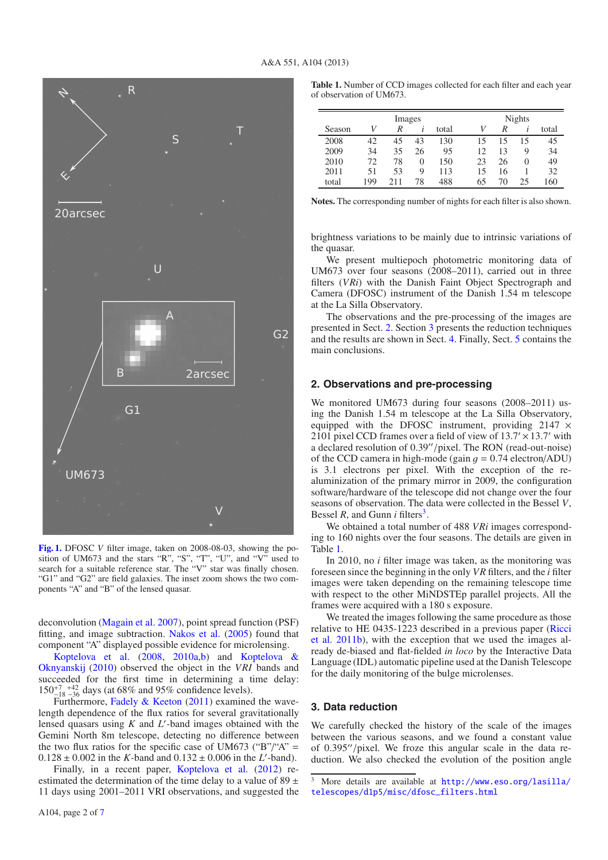

<span id="page-3-0"></span>**[Fig. 1.](http://dexter.edpsciences.org/applet.php?DOI=10.1051/0004-6361/201118755&pdf_id=1)** DFOSC *V* filter image, taken on 2008-08-03, showing the position of UM673 and the stars "R", "S", "T", "U", and "V" used to search for a suitable reference star. The "V" star was finally chosen. "G1" and "G2" are field galaxies. The inset zoom shows the two components "A" and "B" of the lensed quasar.

deconvolution [\(Magain et al. 2007](#page-8-16)), point spread function (PSF) fitting, and image subtraction. [Nakos et al.](#page-8-8) [\(2005](#page-8-8)) found that [component](#page-8-17) ["A"](#page-8-17) [display](#page-8-17)ed possible evidence for microlensing.

Koptelova et al. [\(2008,](#page-8-17) [2010a](#page-8-18)[,b\)](#page-8-19) [and](#page-8-20) Koptelova & Oknyanskij [\(2010\)](#page-8-20) observed the object in the *VRI* bands and succeeded for the first time in determining a time delay:  $150^{+7}_{-18}$   $^{+42}_{-36}$  days (at 68% and 95% confidence levels).

Furthermore, [Fadely & Keeton](#page-8-21) [\(2011\)](#page-8-21) examined the wavelength dependence of the flux ratios for several gravitationally lensed quasars using *K* and *L* -band images obtained with the Gemini North 8m telescope, detecting no difference between the two flux ratios for the specific case of UM673 ("B"/"A" =  $0.128 \pm 0.002$  in the *K*-band and  $0.132 \pm 0.006$  in the *L'*-band).<br>Finally in a recent paper Kontelova et al. (2012) re-

Finally, in a recent paper, [Koptelova et al.](#page-8-22) [\(2012](#page-8-22)) reestimated the determination of the time delay to a value of 89  $\pm$ 11 days using 2001–2011 VRI observations, and suggested the <span id="page-3-4"></span>**Table 1.** Number of CCD images collected for each filter and each year of observation of UM673.

| Images |     |     | Nights |       |    |    |              |       |
|--------|-----|-----|--------|-------|----|----|--------------|-------|
| Season | V   | R   |        | total | V  | R  |              | total |
| 2008   | 42  | 45  | 43     | 130   | 15 | 15 | 15           | 45    |
| 2009   | 34  | 35  | 26     | 95    | 12 | 13 | Q            | 34    |
| 2010   | 72  | 78  | 0      | 150   | 23 | 26 | $\mathbf{O}$ | 49    |
| 2011   | 51  | 53  | 9      | 113   | 15 | 16 |              | 32    |
| total  | 199 | 211 | 78     | 488   | 65 | 70 | 25           | 160   |

**Notes.** The corresponding number of nights for each filter is also shown.

brightness variations to be mainly due to intrinsic variations of the quasar.

We present multiepoch photometric monitoring data of UM673 over four seasons (2008–2011), carried out in three filters (*VRi*) with the Danish Faint Object Spectrograph and Camera (DFOSC) instrument of the Danish 1.54 m telescope at the La Silla Observatory.

The observations and the pre-processing of the images are presented in Sect. [2.](#page-3-1) Section [3](#page-3-2) presents the reduction techniques and the results are shown in Sect. [4.](#page-5-0) Finally, Sect. [5](#page-7-0) contains the main conclusions.

## <span id="page-3-1"></span>**2. Observations and pre-processing**

We monitored UM673 during four seasons (2008–2011) using the Danish 1.54 m telescope at the La Silla Observatory, equipped with the DFOSC instrument, providing  $2147 \times$ 2101 pixel CCD frames over a field of view of  $13.7' \times 13.7'$  with a declared resolution of 0.39"/pixel. The RON (read-out-noise) of the CCD camera in high-mode (gain  $q = 0.74$  electron/ADU) is 3.1 electrons per pixel. With the exception of the realuminization of the primary mirror in 2009, the configuration software/hardware of the telescope did not change over the four seasons of observation. The data were collected in the Bessel *V*, Bessel *R*, and Gunn *i* filters<sup>3</sup>.

We obtained a total number of 488 *VRi* images corresponding to 160 nights over the four seasons. The details are given in Table [1.](#page-3-4)

In 2010, no *i* filter image was taken, as the monitoring was foreseen since the beginning in the only *VR* filters, and the *i* filter images were taken depending on the remaining telescope time with respect to the other MiNDSTEp parallel projects. All the frames were acquired with a 180 s exposure.

<span id="page-3-3"></span>We treated the images following the same procedure as those relat[ive](#page-8-1) [to](#page-8-1) [HE](#page-8-1) [0435-1223](#page-8-1) [described](#page-8-1) [in](#page-8-1) [a](#page-8-1) [previous](#page-8-1) [paper](#page-8-1) [\(](#page-8-1)Ricci et al. [2011b](#page-8-1)), with the exception that we used the images already de-biased and flat-fielded *in loco* by the Interactive Data Language (IDL) automatic pipeline used at the Danish Telescope for the daily monitoring of the bulge microlenses.

#### <span id="page-3-2"></span>**3. Data reduction**

We carefully checked the history of the scale of the images between the various seasons, and we found a constant value of  $0.395''/\text{pixel}$ . We froze this angular scale in the data reduction. We also checked the evolution of the position angle

<sup>3</sup> More details are available at [http://www.eso.org/lasilla/](http://www.eso.org/lasilla/telescopes/d1p5/misc/dfosc_filters.html) [telescopes/d1p5/misc/dfosc\\_filters.html](http://www.eso.org/lasilla/telescopes/d1p5/misc/dfosc_filters.html)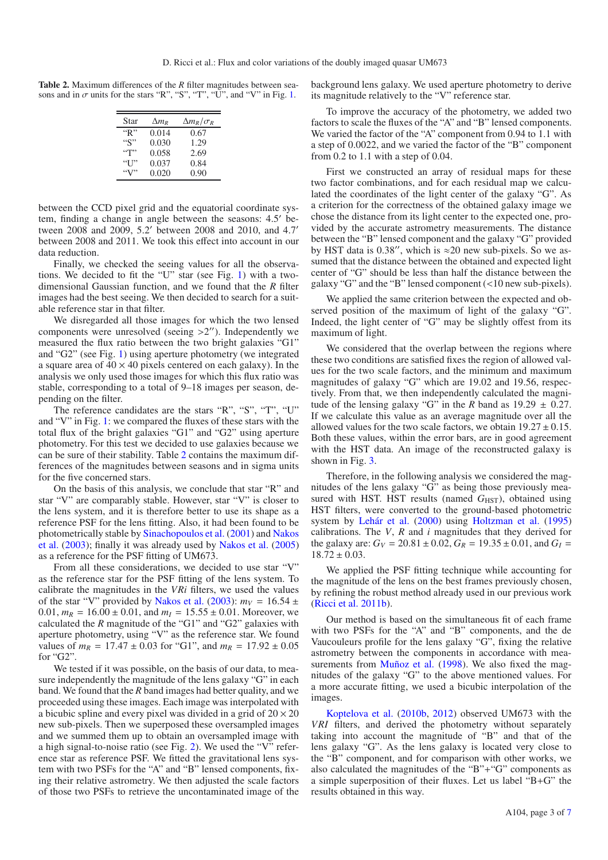<span id="page-4-0"></span>**Table 2.** Maximum differences of the *R* filter magnitudes between seasons and in  $\sigma$  units for the stars "R", "S", "T", "U", and "V" in Fig. [1.](#page-3-0)

| Star                             | $\Delta m_R$ | $\Delta m_R/\sigma_R$ |
|----------------------------------|--------------|-----------------------|
| "R"                              | 0.014        | 0.67                  |
| ``S"                             | 0.030        | 1.29                  |
| $\lq\lq\lq\lq\lq\lq\lq\lq\lq\lq$ | 0.058        | 2.69                  |
| $\lq\lq$ $\lq\lq$                | 0.037        | 0.84                  |
|                                  | 0.020        | 0.90                  |

between the CCD pixel grid and the equatorial coordinate system, finding a change in angle between the seasons: 4.5' between 2008 and 2009, 5.2 between 2008 and 2010, and 4.7 between 2008 and 2011. We took this effect into account in our data reduction.

Finally, we checked the seeing values for all the observations. We decided to fit the "U" star (see Fig. [1\)](#page-3-0) with a twodimensional Gaussian function, and we found that the *R* filter images had the best seeing. We then decided to search for a suitable reference star in that filter.

We disregarded all those images for which the two lensed components were unresolved (seeing  $>2$ "). Independently we measured the flux ratio between the two bright galaxies "G1" and "G2" (see Fig. [1\)](#page-3-0) using aperture photometry (we integrated a square area of  $40 \times 40$  pixels centered on each galaxy). In the analysis we only used those images for which this flux ratio was stable, corresponding to a total of 9–18 images per season, depending on the filter.

The reference candidates are the stars "R", "S", "T", "U" and "V" in Fig. [1:](#page-3-0) we compared the fluxes of these stars with the total flux of the bright galaxies "G1" and "G2" using aperture photometry. For this test we decided to use galaxies because we can be sure of their stability. Table [2](#page-4-0) contains the maximum differences of the magnitudes between seasons and in sigma units for the five concerned stars.

On the basis of this analysis, we conclude that star "R" and star "V" are comparably stable. However, star "V" is closer to the lens system, and it is therefore better to use its shape as a reference PSF for the lens fitting. Also, it had been found to be phot[ometrically stable by](#page-8-23) [Sinachopoulos et al.](#page-8-13) [\(2001\)](#page-8-13) and Nakos et al. [\(2003](#page-8-23)); finally it was already used by [Nakos et al.](#page-8-8) [\(2005](#page-8-8)) as a reference for the PSF fitting of UM673.

From all these considerations, we decided to use star "V" as the reference star for the PSF fitting of the lens system. To calibrate the magnitudes in the *VRi* filters, we used the values of the star "V" provided by [Nakos et al.](#page-8-23) [\(2003](#page-8-23)):  $m_V = 16.54 \pm$ 0.01,  $m_R = 16.00 \pm 0.01$ , and  $m_I = 15.55 \pm 0.01$ . Moreover, we calculated the *R* magnitude of the "G1" and "G2" galaxies with aperture photometry, using "V" as the reference star. We found values of  $m_R = 17.47 \pm 0.03$  for "G1", and  $m_R = 17.92 \pm 0.05$ for "G2".

We tested if it was possible, on the basis of our data, to measure independently the magnitude of the lens galaxy "G" in each band. We found that the *R* band images had better quality, and we proceeded using these images. Each image was interpolated with a bicubic spline and every pixel was divided in a grid of  $20 \times 20$ new sub-pixels. Then we superposed these oversampled images and we summed them up to obtain an oversampled image with a high signal-to-noise ratio (see Fig. [2\)](#page-5-1). We used the "V" reference star as reference PSF. We fitted the gravitational lens system with two PSFs for the "A" and "B" lensed components, fixing their relative astrometry. We then adjusted the scale factors of those two PSFs to retrieve the uncontaminated image of the background lens galaxy. We used aperture photometry to derive its magnitude relatively to the "V" reference star.

To improve the accuracy of the photometry, we added two factors to scale the fluxes of the "A" and "B" lensed components. We varied the factor of the "A" component from 0.94 to 1.1 with a step of 0.0022, and we varied the factor of the "B" component from 0.2 to 1.1 with a step of 0.04.

First we constructed an array of residual maps for these two factor combinations, and for each residual map we calculated the coordinates of the light center of the galaxy "G". As a criterion for the correctness of the obtained galaxy image we chose the distance from its light center to the expected one, provided by the accurate astrometry measurements. The distance between the "B" lensed component and the galaxy "G" provided by HST data is 0.38", which is  $\approx$  20 new sub-pixels. So we assumed that the distance between the obtained and expected light center of "G" should be less than half the distance between the galaxy "G" and the "B" lensed component (<10 new sub-pixels).

We applied the same criterion between the expected and observed position of the maximum of light of the galaxy "G". Indeed, the light center of "G" may be slightly offest from its maximum of light.

We considered that the overlap between the regions where these two conditions are satisfied fixes the region of allowed values for the two scale factors, and the minimum and maximum magnitudes of galaxy "G" which are 19.02 and 19.56, respectively. From that, we then independently calculated the magnitude of the lensing galaxy "G" in the *R* band as  $19.29 \pm 0.27$ . If we calculate this value as an average magnitude over all the allowed values for the two scale factors, we obtain  $19.27 \pm 0.15$ . Both these values, within the error bars, are in good agreement with the HST data. An image of the reconstructed galaxy is shown in Fig. [3.](#page-5-2)

Therefore, in the following analysis we considered the magnitudes of the lens galaxy "G" as being those previously measured with HST. HST results (named  $G<sub>HST</sub>$ ), obtained using HST filters, were converted to the ground-based photometric system by [Lehár et al.](#page-8-11) [\(2000\)](#page-8-11) using [Holtzman et al.](#page-8-24) [\(1995](#page-8-24)) calibrations. The *V*, *R* and *i* magnitudes that they derived for the galaxy are:  $G_V = 20.81 \pm 0.02$ ,  $G_R = 19.35 \pm 0.01$ , and  $G_I =$  $18.72 \pm 0.03$ .

We applied the PSF fitting technique while accounting for the magnitude of the lens on the best frames previously chosen, by refining the robust method already used in our previous work [\(Ricci et al. 2011b](#page-8-1)).

Our method is based on the simultaneous fit of each frame with two PSFs for the "A" and "B" components, and the de Vaucouleurs profile for the lens galaxy "G", fixing the relative astrometry between the components in accordance with mea-surements from [Muñoz et al.](#page-8-10) [\(1998\)](#page-8-10). We also fixed the magnitudes of the galaxy "G" to the above mentioned values. For a more accurate fitting, we used a bicubic interpolation of the images.

Koptelova et al. [\(2010b](#page-8-19), [2012\)](#page-8-22) observed UM673 with the *VRI* filters, and derived the photometry without separately taking into account the magnitude of "B" and that of the lens galaxy "G". As the lens galaxy is located very close to the "B" component, and for comparison with other works, we also calculated the magnitudes of the "B"+"G" components as a simple superposition of their fluxes. Let us label "B+G" the results obtained in this way.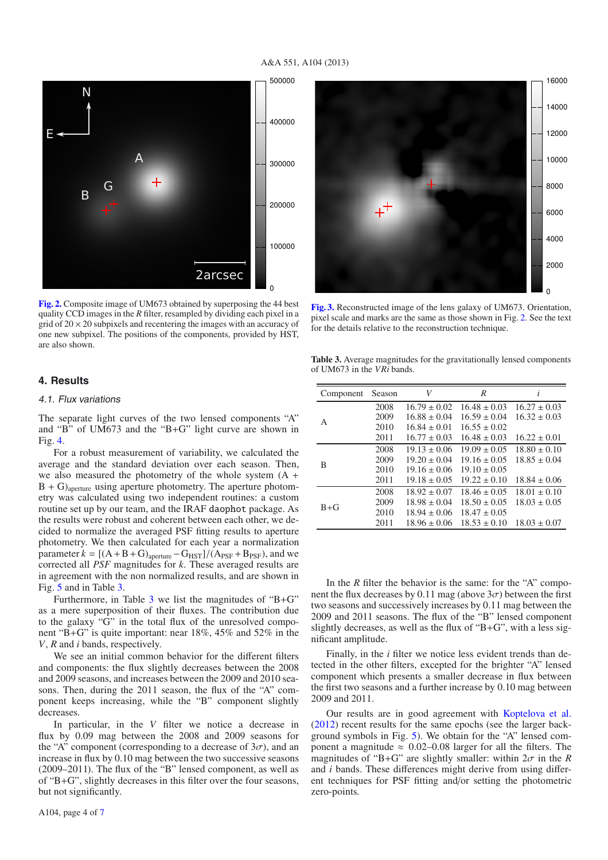### A&A 551, A104 (2013)

<span id="page-5-1"></span>

**[Fig. 2.](http://dexter.edpsciences.org/applet.php?DOI=10.1051/0004-6361/201118755&pdf_id=2)** Composite image of UM673 obtained by superposing the 44 best quality CCD images in the *R* filter, resampled by dividing each pixel in a grid of  $20 \times 20$  subpixels and recentering the images with an accuracy of one new subpixel. The positions of the components, provided by HST, are also shown.

## <span id="page-5-0"></span>**4. Results**

#### 4.1. Flux variations

The separate light curves of the two lensed components "A" and "B" of UM673 and the "B+G" light curve are shown in Fig. [4.](#page-6-0)

For a robust measurement of variability, we calculated the average and the standard deviation over each season. Then, we also measured the photometry of the whole system (A +  $B + G$ <sub>aperture</sub> using aperture photometry. The aperture photometry was calculated using two independent routines: a custom routine set up by our team, and the IRAF daophot package. As the results were robust and coherent between each other, we decided to normalize the averaged PSF fitting results to aperture photometry. We then calculated for each year a normalization parameter  $k = [(A + B + G)_{\text{aperture}} - G_{\text{HST}}]/(A_{\text{PSF}} + B_{\text{PSF}})$ , and we corrected all *PSF* magnitudes for *k*. These averaged results are in agreement with the non normalized results, and are shown in Fig. [5](#page-6-1) and in Table [3.](#page-5-3)

Furthermore, in Table  $3$  we list the magnitudes of "B+G" as a mere superposition of their fluxes. The contribution due to the galaxy "G" in the total flux of the unresolved component "B+G" is quite important: near 18%, 45% and 52% in the *V*, *R* and *i* bands, respectively.

We see an initial common behavior for the different filters and components: the flux slightly decreases between the 2008 and 2009 seasons, and increases between the 2009 and 2010 seasons. Then, during the 2011 season, the flux of the "A" component keeps increasing, while the "B" component slightly decreases.

In particular, in the *V* filter we notice a decrease in flux by 0.09 mag between the 2008 and 2009 seasons for the "A" component (corresponding to a decrease of  $3\sigma$ ), and an increase in flux by 0.10 mag between the two successive seasons (2009–2011). The flux of the "B" lensed component, as well as of "B+G", slightly decreases in this filter over the four seasons, but not significantly.

<span id="page-5-2"></span>

<span id="page-5-3"></span>**[Fig. 3.](http://dexter.edpsciences.org/applet.php?DOI=10.1051/0004-6361/201118755&pdf_id=3)** Reconstructed image of the lens galaxy of UM673. Orientation, pixel scale and marks are the same as those shown in Fig. [2.](#page-5-1) See the text for the details relative to the reconstruction technique.

**Table 3.** Average magnitudes for the gravitationally lensed components of UM673 in the *VRi* bands.

| Component | Season | V                | R                | $\iota$          |  |
|-----------|--------|------------------|------------------|------------------|--|
|           | 2008   | $16.79 \pm 0.02$ | $16.48 \pm 0.03$ | $16.27 \pm 0.03$ |  |
| A         | 2009   | $16.88 + 0.04$   | $16.59 + 0.04$   | $16.32 \pm 0.03$ |  |
|           | 2010   | $16.84 + 0.01$   | $16.55 \pm 0.02$ |                  |  |
|           | 2011   | $16.77 \pm 0.03$ | $16.48 \pm 0.03$ | $16.22 \pm 0.01$ |  |
|           | 2008   | $19.13 \pm 0.06$ | $19.09 \pm 0.05$ | $18.80 \pm 0.10$ |  |
| B         | 2009   | $19.20 \pm 0.04$ | $19.16 \pm 0.05$ | $18.85 + 0.04$   |  |
|           | 2010   | $19.16 \pm 0.06$ | $19.10 \pm 0.05$ |                  |  |
|           | 2011   | $19.18 \pm 0.05$ | $19.22 \pm 0.10$ | $18.84 \pm 0.06$ |  |
|           | 2008   | $18.92 \pm 0.07$ | $18.46 \pm 0.05$ | $18.01 \pm 0.10$ |  |
| $B + G$   | 2009   | $18.98 \pm 0.04$ | $18.50 \pm 0.05$ | $18.03 \pm 0.05$ |  |
|           | 2010   | $18.94 \pm 0.06$ | $18.47 \pm 0.05$ |                  |  |
|           | 2011   | $18.96 \pm 0.06$ | $18.53 \pm 0.10$ | $18.03 \pm 0.07$ |  |
|           |        |                  |                  |                  |  |

In the *R* filter the behavior is the same: for the "A" component the flux decreases by 0.11 mag (above  $3\sigma$ ) between the first two seasons and successively increases by 0.11 mag between the 2009 and 2011 seasons. The flux of the "B" lensed component slightly decreases, as well as the flux of "B+G", with a less significant amplitude.

Finally, in the *i* filter we notice less evident trends than detected in the other filters, excepted for the brighter "A" lensed component which presents a smaller decrease in flux between the first two seasons and a further increase by 0.10 mag between 2009 and 2011.

Our results are in good agreement with [Koptelova et al.](#page-8-22) [\(2012\)](#page-8-22) recent results for the same epochs (see the larger background symbols in Fig. [5\)](#page-6-1). We obtain for the "A" lensed component a magnitude  $\approx 0.02{\text -}0.08$  larger for all the filters. The magnitudes of "B+G" are slightly smaller: within  $2\sigma$  in the *R* and *i* bands. These differences might derive from using different techniques for PSF fitting and/or setting the photometric zero-points.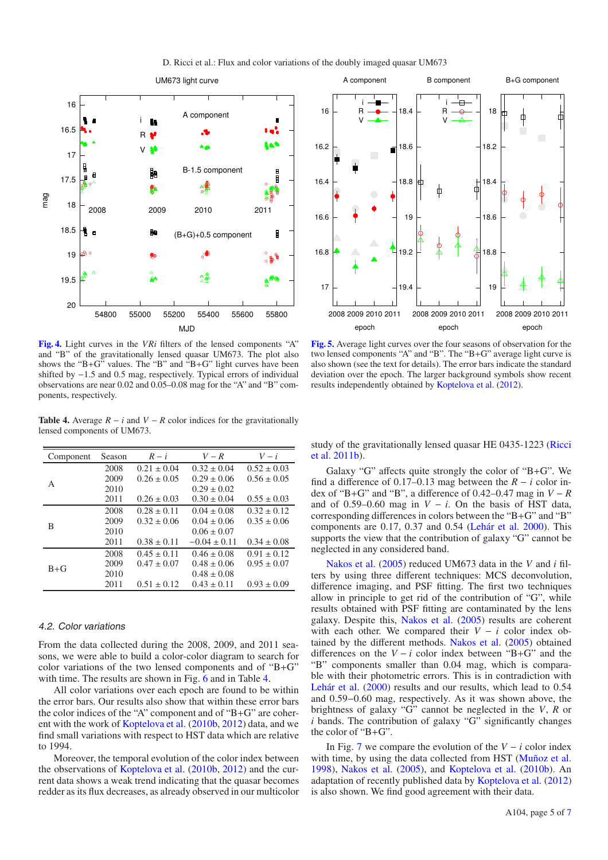

<span id="page-6-0"></span>

<span id="page-6-2"></span>**[Fig. 4.](http://dexter.edpsciences.org/applet.php?DOI=10.1051/0004-6361/201118755&pdf_id=4)** Light curves in the *VRi* filters of the lensed components "A" and "B" of the gravitationally lensed quasar UM673. The plot also shows the "B+G" values. The "B" and  $\mathbf{B} + \mathbf{G}$ " light curves have been shifted by <sup>−</sup>1.5 and 0.5 mag, respectively. Typical errors of individual observations are near 0.02 and 0.05–0.08 mag for the "A" and "B" components, respectively.

**Table 4.** Average  $R - i$  and  $V - R$  color indices for the gravitationally lensed components of UM673.

| Component | Season | $R - i$         | $V-R$            | $V - i$         |
|-----------|--------|-----------------|------------------|-----------------|
|           | 2008   | $0.21 \pm 0.04$ | $0.32 \pm 0.04$  | $0.52 \pm 0.03$ |
|           | 2009   | $0.26 \pm 0.05$ | $0.29 \pm 0.06$  | $0.56 \pm 0.05$ |
| A         | 2010   |                 | $0.29 \pm 0.02$  |                 |
|           | 2011   | $0.26 \pm 0.03$ | $0.30 \pm 0.04$  | $0.55 \pm 0.03$ |
|           | 2008   | $0.28 \pm 0.11$ | $0.04 \pm 0.08$  | $0.32 \pm 0.12$ |
| B         | 2009   | $0.32 \pm 0.06$ | $0.04 \pm 0.06$  | $0.35 \pm 0.06$ |
|           | 2010   |                 | $0.06 \pm 0.07$  |                 |
|           | 2011   | $0.38 \pm 0.11$ | $-0.04 \pm 0.11$ | $0.34 \pm 0.08$ |
|           | 2008   | $0.45 \pm 0.11$ | $0.46 \pm 0.08$  | $0.91 \pm 0.12$ |
|           | 2009   | $0.47 \pm 0.07$ | $0.48 \pm 0.06$  | $0.95 \pm 0.07$ |
| $B + G$   | 2010   |                 | $0.48 \pm 0.08$  |                 |
|           | 2011   | $0.51 \pm 0.12$ | $0.43 \pm 0.11$  | $0.93 \pm 0.09$ |
|           |        |                 |                  |                 |

#### 4.2. Color variations

From the data collected during the 2008, 2009, and 2011 seasons, we were able to build a color-color diagram to search for color variations of the two lensed components and of "B+G" with time. The results are shown in Fig. [6](#page-7-1) and in Table [4.](#page-6-2)

All color variations over each epoch are found to be within the error bars. Our results also show that within these error bars the color indices of the "A" component and of "B+G" are coherent with the work of [Koptelova et al.](#page-8-19) [\(2010b,](#page-8-19) [2012](#page-8-22)) data, and we find small variations with respect to HST data which are relative to 1994.

Moreover, the temporal evolution of the color index between the observations of [Koptelova et al.](#page-8-19) [\(2010b,](#page-8-19) [2012\)](#page-8-22) and the current data shows a weak trend indicating that the quasar becomes redder as its flux decreases, as already observed in our multicolor

<span id="page-6-1"></span>

**[Fig. 5.](http://dexter.edpsciences.org/applet.php?DOI=10.1051/0004-6361/201118755&pdf_id=5)** Average light curves over the four seasons of observation for the two lensed components "A" and "B". The "B+G" average light curve is also shown (see the text for details). The error bars indicate the standard deviation over the epoch. The larger background symbols show recent results independently obtained by [Koptelova et al.](#page-8-22) [\(2012\)](#page-8-22).

stud[y](#page-8-1) [of](#page-8-1) [the](#page-8-1) [gravitationally](#page-8-1) [lensed](#page-8-1) [quasar](#page-8-1) [HE](#page-8-1) [0435-1223](#page-8-1) [\(](#page-8-1)Ricci et al. [2011b](#page-8-1)).

Galaxy "G" affects quite strongly the color of "B+G". We find a difference of 0.17–0.13 mag between the  $R - i$  color index of "B+G" and "B", a difference of  $0.42-0.47$  mag in  $V - R$ and of 0.59–0.60 mag in  $V - i$ . On the basis of HST data, corresponding differences in colors between the "B+G" and "B" components are 0.17, 0.37 and 0.54 [\(Lehár et al. 2000](#page-8-11)). This supports the view that the contribution of galaxy "G" cannot be neglected in any considered band.

Nakos et al. [\(2005](#page-8-8)) reduced UM673 data in the *V* and *i* filters by using three different techniques: MCS deconvolution, difference imaging, and PSF fitting. The first two techniques allow in principle to get rid of the contribution of "G", while results obtained with PSF fitting are contaminated by the lens galaxy. Despite this, [Nakos et al.](#page-8-8) [\(2005](#page-8-8)) results are coherent with each other. We compared their  $V - i$  color index obtained by the different methods. [Nakos et al.](#page-8-8) [\(2005\)](#page-8-8) obtained differences on the  $V - i$  color index between "B+G" and the "B" components smaller than 0.04 mag, which is comparable with their photometric errors. This is in contradiction with [Lehár et al.](#page-8-11) [\(2000\)](#page-8-11) results and our results, which lead to 0.<sup>54</sup> and 0.59−0.60 mag, respectively. As it was shown above, the brightness of galaxy "G" cannot be neglected in the *V*, *R* or *i* bands. The contribution of galaxy "G" significantly changes the color of "B+G".

In Fig. [7](#page-7-2) we compare the evolution of the  $V - i$  color index with time, by using the data collected from HST [\(Muñoz et al.](#page-8-10) [1998\)](#page-8-10), [Nakos et al.](#page-8-8) [\(2005\)](#page-8-8), and [Koptelova et al.](#page-8-19) [\(2010b\)](#page-8-19). An adaptation of recently published data by [Koptelova et al.](#page-8-22) [\(2012](#page-8-22)) is also shown. We find good agreement with their data.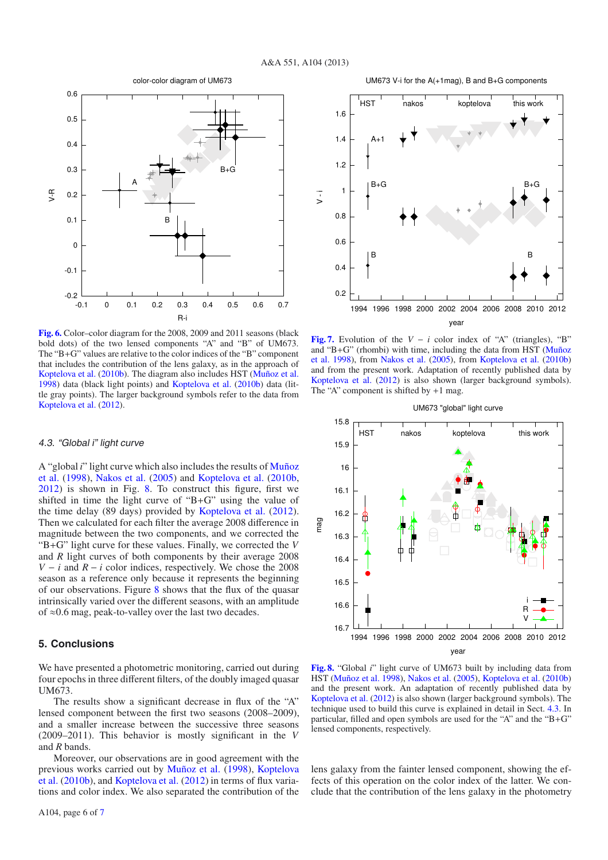<span id="page-7-1"></span>

**[Fig. 6.](http://dexter.edpsciences.org/applet.php?DOI=10.1051/0004-6361/201118755&pdf_id=6)** Color–color diagram for the 2008, 2009 and 2011 seasons (black bold dots) of the two lensed components "A" and "B" of UM673. The "B+G" values are relative to the color indices of the "B" component that includes the contribution of the lens galaxy, as in the approach of [Koptelova et al.](#page-8-19) [\(2010b](#page-8-19)). The diagram also includes HST [\(Muñoz et al.](#page-8-10) [1998](#page-8-10)) data (black light points) and [Koptelova et al.](#page-8-19) [\(2010b\)](#page-8-19) data (little gray points). The larger background symbols refer to the data from [Koptelova et al.](#page-8-22) [\(2012](#page-8-22)).

#### <span id="page-7-4"></span>4.3. "Global i" light curve

A "global *i*[" light curve which also includes the results of](#page-8-10) Muñoz et al. [\(1998\)](#page-8-10), [Nakos et al.](#page-8-8) [\(2005\)](#page-8-8) and [Koptelova et al.](#page-8-19) [\(2010b](#page-8-19), [2012\)](#page-8-22) is shown in Fig. [8.](#page-7-3) To construct this figure, first we shifted in time the light curve of "B+G" using the value of the time delay (89 days) provided by [Koptelova et al.](#page-8-22) [\(2012\)](#page-8-22). Then we calculated for each filter the average 2008 difference in magnitude between the two components, and we corrected the "B+G" light curve for these values. Finally, we corrected the *V* and *R* light curves of both components by their average 2008 *V* − *i* and  $R$  − *i* color indices, respectively. We chose the 2008 season as a reference only because it represents the beginning of our observations. Figure [8](#page-7-3) shows that the flux of the quasar intrinsically varied over the different seasons, with an amplitude of ≈0.6 mag, peak-to-valley over the last two decades.

## <span id="page-7-0"></span>**5. Conclusions**

We have presented a photometric monitoring, carried out during four epochs in three different filters, of the doubly imaged quasar UM673.

The results show a significant decrease in flux of the "A" lensed component between the first two seasons (2008–2009), and a smaller increase between the successive three seasons (2009–2011). This behavior is mostly significant in the *V* and *R* bands.

Moreover, our observations are in good agreement with the prev[ious](#page-8-19) [works](#page-8-19) [carried](#page-8-19) [out](#page-8-19) [by](#page-8-19) [Muñoz et al.](#page-8-10) [\(1998\)](#page-8-10), Koptelova et al. [\(2010b\)](#page-8-19), and [Koptelova et al.](#page-8-22) [\(2012\)](#page-8-22) in terms of flux variations and color index. We also separated the contribution of the

<span id="page-7-2"></span>

**[Fig. 7.](http://dexter.edpsciences.org/applet.php?DOI=10.1051/0004-6361/201118755&pdf_id=7)** Evolution of the  $V - i$  color index of "A" (triangles), "B" and "B+[G" \(rhombi\) with time, including the data from HST \(](#page-8-10)Muñoz et al. [1998\)](#page-8-10), from [Nakos et al.](#page-8-8) [\(2005\)](#page-8-8), from [Koptelova et al.](#page-8-19) [\(2010b](#page-8-19)) and from the present work. Adaptation of recently published data by [Koptelova et al.](#page-8-22) [\(2012](#page-8-22)) is also shown (larger background symbols). The "A" component is shifted by  $+1$  mag.

<span id="page-7-3"></span>

**[Fig. 8.](http://dexter.edpsciences.org/applet.php?DOI=10.1051/0004-6361/201118755&pdf_id=8)** "Global *i*" light curve of UM673 built by including data from HST [\(Muñoz et al. 1998\)](#page-8-10), [Nakos et al.](#page-8-8) [\(2005\)](#page-8-8), [Koptelova et al.](#page-8-19) [\(2010b](#page-8-19)) and the present work. An adaptation of recently published data by [Koptelova et al.](#page-8-22) [\(2012](#page-8-22)) is also shown (larger background symbols). The technique used to build this curve is explained in detail in Sect. [4.3.](#page-7-4) In particular, filled and open symbols are used for the "A" and the "B+G" lensed components, respectively.

lens galaxy from the fainter lensed component, showing the effects of this operation on the color index of the latter. We conclude that the contribution of the lens galaxy in the photometry